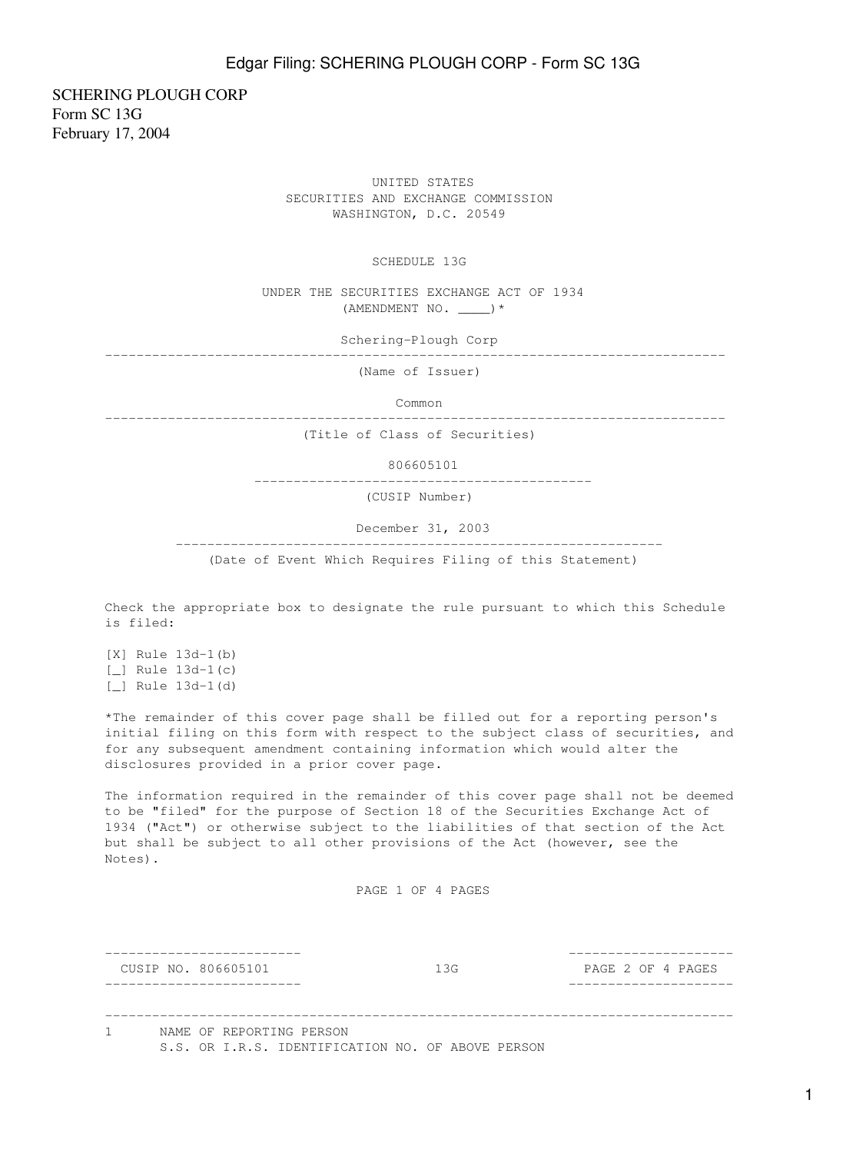SCHERING PLOUGH CORP Form SC 13G February 17, 2004

> UNITED STATES SECURITIES AND EXCHANGE COMMISSION WASHINGTON, D.C. 20549

> > SCHEDULE 13G

 UNDER THE SECURITIES EXCHANGE ACT OF 1934 (AMENDMENT NO. \_\_\_\_)\*

Schering-Plough Corp

-------------------------------------------------------------------------------

(Name of Issuer)

Common

-------------------------------------------------------------------------------

(Title of Class of Securities)

806605101

-------------------------------------------

(CUSIP Number)

December 31, 2003

--------------------------------------------------------------

(Date of Event Which Requires Filing of this Statement)

Check the appropriate box to designate the rule pursuant to which this Schedule is filed:

[X] Rule 13d-1(b) [*\_*] Rule 13d-1(c) [\_] Rule 13d-1(d)

\*The remainder of this cover page shall be filled out for a reporting person's initial filing on this form with respect to the subject class of securities, and for any subsequent amendment containing information which would alter the disclosures provided in a prior cover page.

The information required in the remainder of this cover page shall not be deemed to be "filed" for the purpose of Section 18 of the Securities Exchange Act of 1934 ("Act") or otherwise subject to the liabilities of that section of the Act but shall be subject to all other provisions of the Act (however, see the Notes).

PAGE 1 OF 4 PAGES

|  | CUSIP NO. 806605101                                                           | 1.3G | PAGE 2 OF 4 PAGES |
|--|-------------------------------------------------------------------------------|------|-------------------|
|  | NAME OF REPORTING PERSON<br>S.S. OR I.R.S. IDENTIFICATION NO. OF ABOVE PERSON |      |                   |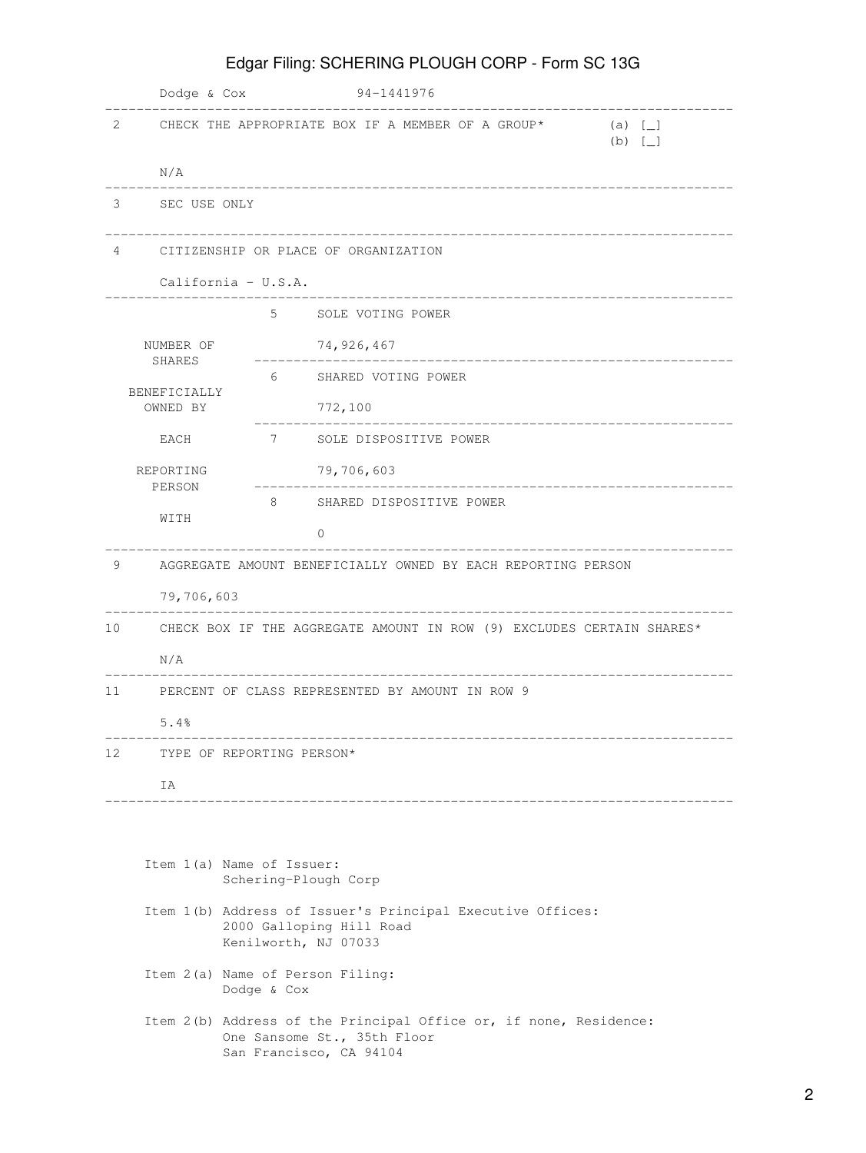|                                                                                                                | Dodge & Cox                                                  |                                                                       | 94-1441976                                                                                                                  |                         |  |  |
|----------------------------------------------------------------------------------------------------------------|--------------------------------------------------------------|-----------------------------------------------------------------------|-----------------------------------------------------------------------------------------------------------------------------|-------------------------|--|--|
| 2                                                                                                              |                                                              |                                                                       | CHECK THE APPROPRIATE BOX IF A MEMBER OF A GROUP*                                                                           | (a) [<br>$(b)$ $\lceil$ |  |  |
|                                                                                                                | N/A                                                          |                                                                       |                                                                                                                             |                         |  |  |
| 3                                                                                                              | SEC USE ONLY                                                 |                                                                       |                                                                                                                             |                         |  |  |
| 4                                                                                                              |                                                              | CITIZENSHIP OR PLACE OF ORGANIZATION                                  |                                                                                                                             |                         |  |  |
|                                                                                                                |                                                              | California - U.S.A.                                                   |                                                                                                                             |                         |  |  |
|                                                                                                                |                                                              | 5                                                                     | SOLE VOTING POWER                                                                                                           |                         |  |  |
|                                                                                                                | NUMBER OF                                                    |                                                                       | 74,926,467                                                                                                                  |                         |  |  |
|                                                                                                                | SHARES<br>BENEFICIALLY                                       | 6                                                                     | SHARED VOTING POWER                                                                                                         |                         |  |  |
|                                                                                                                | OWNED BY                                                     |                                                                       | 772,100                                                                                                                     |                         |  |  |
|                                                                                                                | EACH                                                         | 7                                                                     | SOLE DISPOSITIVE POWER                                                                                                      |                         |  |  |
|                                                                                                                | REPORTING<br>PERSON                                          |                                                                       | 79,706,603                                                                                                                  |                         |  |  |
|                                                                                                                | WITH                                                         | 8                                                                     | SHARED DISPOSITIVE POWER                                                                                                    |                         |  |  |
|                                                                                                                |                                                              |                                                                       | $\Omega$                                                                                                                    |                         |  |  |
| 9                                                                                                              | AGGREGATE AMOUNT BENEFICIALLY OWNED BY EACH REPORTING PERSON |                                                                       |                                                                                                                             |                         |  |  |
|                                                                                                                | 79,706,603                                                   |                                                                       |                                                                                                                             |                         |  |  |
| 10                                                                                                             |                                                              | CHECK BOX IF THE AGGREGATE AMOUNT IN ROW (9) EXCLUDES CERTAIN SHARES* |                                                                                                                             |                         |  |  |
|                                                                                                                | N/A                                                          |                                                                       |                                                                                                                             |                         |  |  |
| 11                                                                                                             | PERCENT OF CLASS REPRESENTED BY AMOUNT IN ROW 9              |                                                                       |                                                                                                                             |                         |  |  |
|                                                                                                                | 5.4%                                                         |                                                                       |                                                                                                                             |                         |  |  |
| 12                                                                                                             | TYPE OF REPORTING PERSON*                                    |                                                                       |                                                                                                                             |                         |  |  |
|                                                                                                                | IA                                                           |                                                                       |                                                                                                                             |                         |  |  |
|                                                                                                                |                                                              |                                                                       |                                                                                                                             |                         |  |  |
|                                                                                                                | Item 1(a) Name of Issuer:<br>Schering-Plough Corp            |                                                                       |                                                                                                                             |                         |  |  |
| Item 1(b) Address of Issuer's Principal Executive Offices:<br>2000 Galloping Hill Road<br>Kenilworth, NJ 07033 |                                                              |                                                                       |                                                                                                                             |                         |  |  |
|                                                                                                                |                                                              | Item 2(a) Name of Person Filing:<br>Dodge & Cox                       |                                                                                                                             |                         |  |  |
|                                                                                                                |                                                              |                                                                       | Item 2(b) Address of the Principal Office or, if none, Residence:<br>One Sansome St., 35th Floor<br>San Francisco, CA 94104 |                         |  |  |

Edgar Filing: SCHERING PLOUGH CORP - Form SC 13G

## 2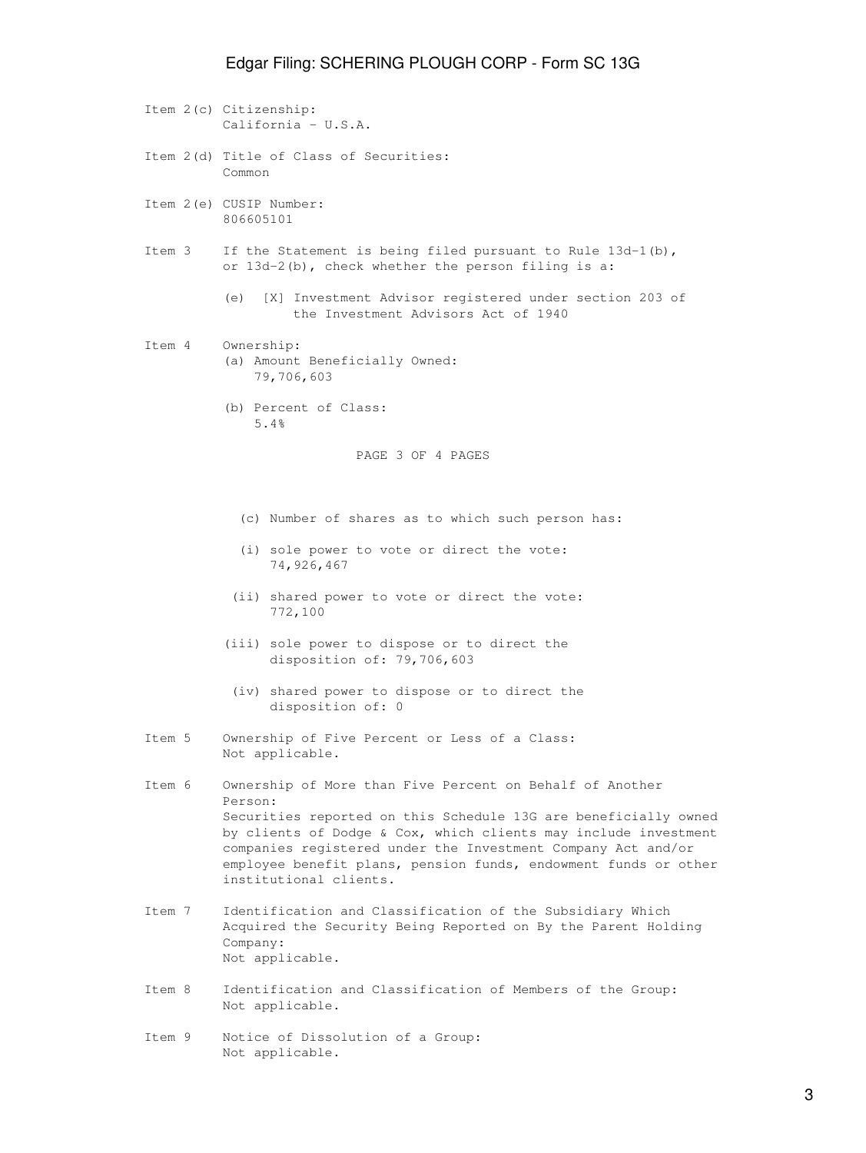## Edgar Filing: SCHERING PLOUGH CORP - Form SC 13G

|        | Item 2(c) Citizenship:<br>California - $U.S.A.$                                                                                                                                                                                                                                                                                                                        |
|--------|------------------------------------------------------------------------------------------------------------------------------------------------------------------------------------------------------------------------------------------------------------------------------------------------------------------------------------------------------------------------|
|        | Item 2(d) Title of Class of Securities:<br>Common                                                                                                                                                                                                                                                                                                                      |
|        | Item 2(e) CUSIP Number:<br>806605101                                                                                                                                                                                                                                                                                                                                   |
| Item 3 | If the Statement is being filed pursuant to Rule $13d-1(b)$ ,<br>or $13d-2(b)$ , check whether the person filing is a:                                                                                                                                                                                                                                                 |
|        | [X] Investment Advisor registered under section 203 of<br>(e)<br>the Investment Advisors Act of 1940                                                                                                                                                                                                                                                                   |
| Item 4 | Ownership:<br>(a) Amount Beneficially Owned:<br>79,706,603                                                                                                                                                                                                                                                                                                             |
|        | (b) Percent of Class:<br>5.4%                                                                                                                                                                                                                                                                                                                                          |
|        | PAGE 3 OF 4 PAGES                                                                                                                                                                                                                                                                                                                                                      |
|        | (c) Number of shares as to which such person has:                                                                                                                                                                                                                                                                                                                      |
|        | (i) sole power to vote or direct the vote:<br>74,926,467                                                                                                                                                                                                                                                                                                               |
|        | (ii) shared power to vote or direct the vote:<br>772,100                                                                                                                                                                                                                                                                                                               |
|        | (iii) sole power to dispose or to direct the<br>disposition of: 79,706,603                                                                                                                                                                                                                                                                                             |
|        | (iv) shared power to dispose or to direct the<br>disposition of: 0                                                                                                                                                                                                                                                                                                     |
| Item 5 | Ownership of Five Percent or Less of a Class:<br>Not applicable.                                                                                                                                                                                                                                                                                                       |
| Item 6 | Ownership of More than Five Percent on Behalf of Another<br>Person:<br>Securities reported on this Schedule 13G are beneficially owned<br>by clients of Dodge & Cox, which clients may include investment<br>companies registered under the Investment Company Act and/or<br>employee benefit plans, pension funds, endowment funds or other<br>institutional clients. |
| Ttem 7 | Identification and Classification of the Subsidiary Which<br>Acquired the Security Being Reported on By the Parent Holding<br>Company:<br>Not applicable.                                                                                                                                                                                                              |

 Item 8 Identification and Classification of Members of the Group: Not applicable.

 Item 9 Notice of Dissolution of a Group: Not applicable.